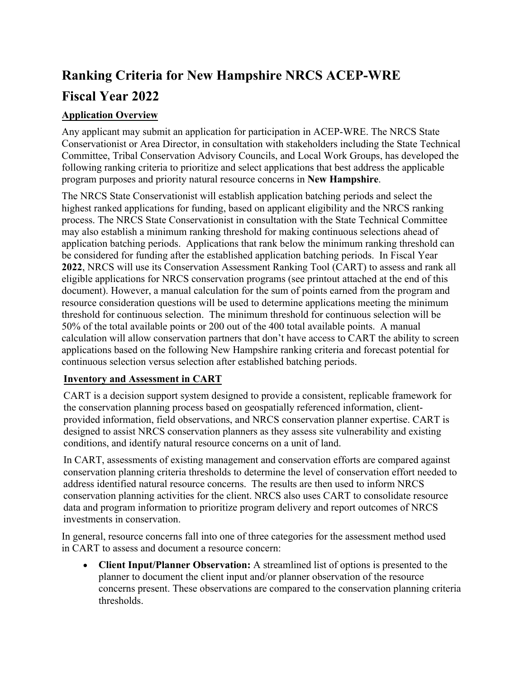# **Ranking Criteria for New Hampshire NRCS ACEP-WRE Fiscal Year 2022**

### **Application Overview**

Any applicant may submit an application for participation in ACEP-WRE. The NRCS State Conservationist or Area Director, in consultation with stakeholders including the State Technical Committee, Tribal Conservation Advisory Councils, and Local Work Groups, has developed the following ranking criteria to prioritize and select applications that best address the applicable program purposes and priority natural resource concerns in **New Hampshire**.

The NRCS State Conservationist will establish application batching periods and select the highest ranked applications for funding, based on applicant eligibility and the NRCS ranking process. The NRCS State Conservationist in consultation with the State Technical Committee may also establish a minimum ranking threshold for making continuous selections ahead of application batching periods. Applications that rank below the minimum ranking threshold can be considered for funding after the established application batching periods. In Fiscal Year **2022**, NRCS will use its Conservation Assessment Ranking Tool (CART) to assess and rank all eligible applications for NRCS conservation programs (see printout attached at the end of this document). However, a manual calculation for the sum of points earned from the program and resource consideration questions will be used to determine applications meeting the minimum threshold for continuous selection. The minimum threshold for continuous selection will be 50% of the total available points or 200 out of the 400 total available points. A manual calculation will allow conservation partners that don't have access to CART the ability to screen applications based on the following New Hampshire ranking criteria and forecast potential for continuous selection versus selection after established batching periods.

#### **Inventory and Assessment in CART**

CART is a decision support system designed to provide a consistent, replicable framework for the conservation planning process based on geospatially referenced information, clientprovided information, field observations, and NRCS conservation planner expertise. CART is designed to assist NRCS conservation planners as they assess site vulnerability and existing conditions, and identify natural resource concerns on a unit of land.

In CART, assessments of existing management and conservation efforts are compared against conservation planning criteria thresholds to determine the level of conservation effort needed to address identified natural resource concerns. The results are then used to inform NRCS conservation planning activities for the client. NRCS also uses CART to consolidate resource data and program information to prioritize program delivery and report outcomes of NRCS investments in conservation.

In general, resource concerns fall into one of three categories for the assessment method used in CART to assess and document a resource concern:

 **Client Input/Planner Observation:** A streamlined list of options is presented to the planner to document the client input and/or planner observation of the resource concerns present. These observations are compared to the conservation planning criteria thresholds.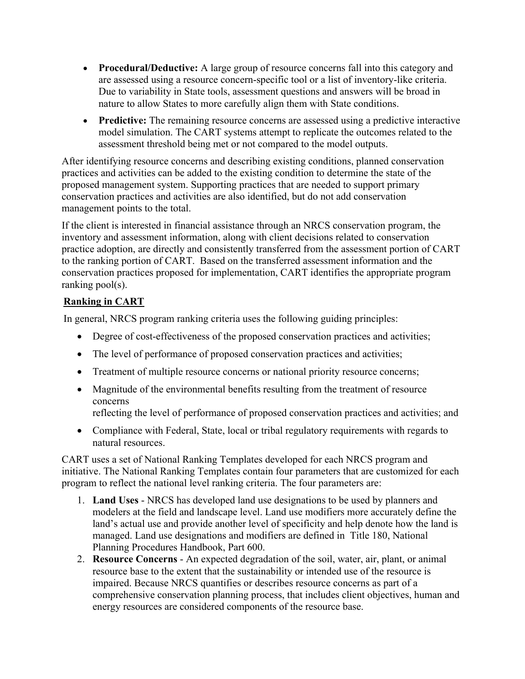- **Procedural/Deductive:** A large group of resource concerns fall into this category and are assessed using a resource concern-specific tool or a list of inventory-like criteria. Due to variability in State tools, assessment questions and answers will be broad in nature to allow States to more carefully align them with State conditions.
- **Predictive:** The remaining resource concerns are assessed using a predictive interactive model simulation. The CART systems attempt to replicate the outcomes related to the assessment threshold being met or not compared to the model outputs.

After identifying resource concerns and describing existing conditions, planned conservation practices and activities can be added to the existing condition to determine the state of the proposed management system. Supporting practices that are needed to support primary conservation practices and activities are also identified, but do not add conservation management points to the total.

If the client is interested in financial assistance through an NRCS conservation program, the inventory and assessment information, along with client decisions related to conservation practice adoption, are directly and consistently transferred from the assessment portion of CART to the ranking portion of CART. Based on the transferred assessment information and the conservation practices proposed for implementation, CART identifies the appropriate program ranking pool(s).

#### **Ranking in CART**

In general, NRCS program ranking criteria uses the following guiding principles:

- Degree of cost-effectiveness of the proposed conservation practices and activities;
- The level of performance of proposed conservation practices and activities;
- Treatment of multiple resource concerns or national priority resource concerns;
- Magnitude of the environmental benefits resulting from the treatment of resource concerns
	- reflecting the level of performance of proposed conservation practices and activities; and
- Compliance with Federal, State, local or tribal regulatory requirements with regards to natural resources.

CART uses a set of National Ranking Templates developed for each NRCS program and initiative. The National Ranking Templates contain four parameters that are customized for each program to reflect the national level ranking criteria. The four parameters are:

- 1. **Land Uses** NRCS has developed land use designations to be used by planners and modelers at the field and landscape level. Land use modifiers more accurately define the land's actual use and provide another level of specificity and help denote how the land is managed. Land use designations and modifiers are defined in Title 180, National Planning Procedures Handbook, Part 600.
- 2. **Resource Concerns**  An expected degradation of the soil, water, air, plant, or animal resource base to the extent that the sustainability or intended use of the resource is impaired. Because NRCS quantifies or describes resource concerns as part of a comprehensive conservation planning process, that includes client objectives, human and energy resources are considered components of the resource base.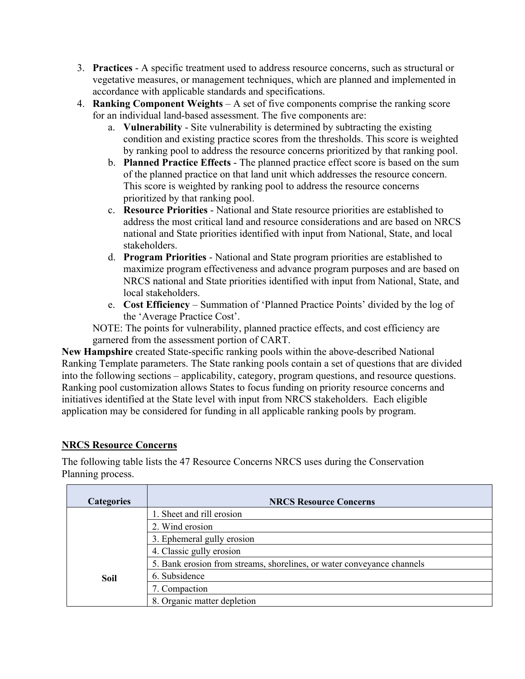- 3. **Practices** A specific treatment used to address resource concerns, such as structural or vegetative measures, or management techniques, which are planned and implemented in accordance with applicable standards and specifications.
- 4. **Ranking Component Weights** A set of five components comprise the ranking score for an individual land-based assessment. The five components are:
	- a. **Vulnerability**  Site vulnerability is determined by subtracting the existing condition and existing practice scores from the thresholds. This score is weighted by ranking pool to address the resource concerns prioritized by that ranking pool.
	- b. **Planned Practice Effects** The planned practice effect score is based on the sum of the planned practice on that land unit which addresses the resource concern. This score is weighted by ranking pool to address the resource concerns prioritized by that ranking pool.
	- c. **Resource Priorities** National and State resource priorities are established to address the most critical land and resource considerations and are based on NRCS national and State priorities identified with input from National, State, and local stakeholders.
	- d. **Program Priorities** National and State program priorities are established to maximize program effectiveness and advance program purposes and are based on NRCS national and State priorities identified with input from National, State, and local stakeholders.
	- e. **Cost Efficiency** Summation of 'Planned Practice Points' divided by the log of the 'Average Practice Cost'.

NOTE: The points for vulnerability, planned practice effects, and cost efficiency are garnered from the assessment portion of CART.

**New Hampshire** created State-specific ranking pools within the above-described National Ranking Template parameters. The State ranking pools contain a set of questions that are divided into the following sections – applicability, category, program questions, and resource questions. Ranking pool customization allows States to focus funding on priority resource concerns and initiatives identified at the State level with input from NRCS stakeholders. Each eligible application may be considered for funding in all applicable ranking pools by program.

#### **NRCS Resource Concerns**

The following table lists the 47 Resource Concerns NRCS uses during the Conservation Planning process.

| <b>Categories</b> | <b>NRCS Resource Concerns</b>                                          |
|-------------------|------------------------------------------------------------------------|
|                   | 1. Sheet and rill erosion                                              |
|                   | 2. Wind erosion                                                        |
|                   | 3. Ephemeral gully erosion                                             |
|                   | 4. Classic gully erosion                                               |
|                   | 5. Bank erosion from streams, shorelines, or water conveyance channels |
| <b>Soil</b>       | 6. Subsidence                                                          |
|                   | 7. Compaction                                                          |
|                   | 8. Organic matter depletion                                            |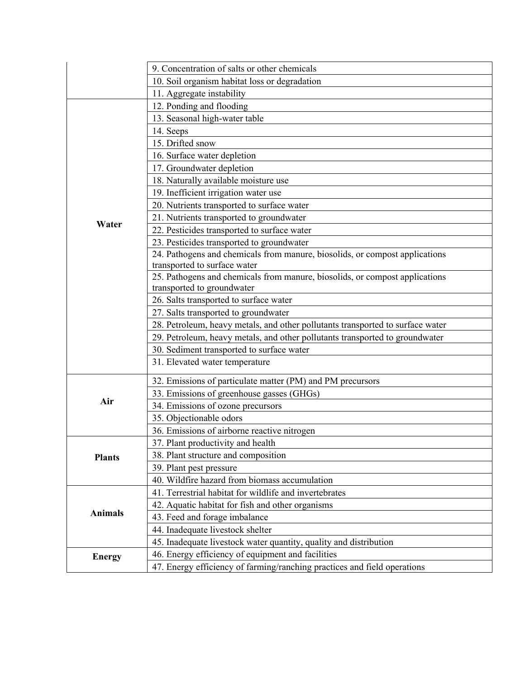|                | 9. Concentration of salts or other chemicals                                   |
|----------------|--------------------------------------------------------------------------------|
|                | 10. Soil organism habitat loss or degradation                                  |
|                | 11. Aggregate instability                                                      |
|                | 12. Ponding and flooding                                                       |
|                | 13. Seasonal high-water table                                                  |
|                | 14. Seeps                                                                      |
|                | 15. Drifted snow                                                               |
|                | 16. Surface water depletion                                                    |
|                | 17. Groundwater depletion                                                      |
|                | 18. Naturally available moisture use                                           |
|                | 19. Inefficient irrigation water use                                           |
|                | 20. Nutrients transported to surface water                                     |
|                | 21. Nutrients transported to groundwater                                       |
| Water          | 22. Pesticides transported to surface water                                    |
|                | 23. Pesticides transported to groundwater                                      |
|                | 24. Pathogens and chemicals from manure, biosolids, or compost applications    |
|                | transported to surface water                                                   |
|                | 25. Pathogens and chemicals from manure, biosolids, or compost applications    |
|                | transported to groundwater                                                     |
|                | 26. Salts transported to surface water                                         |
|                | 27. Salts transported to groundwater                                           |
|                | 28. Petroleum, heavy metals, and other pollutants transported to surface water |
|                | 29. Petroleum, heavy metals, and other pollutants transported to groundwater   |
|                | 30. Sediment transported to surface water                                      |
|                | 31. Elevated water temperature                                                 |
|                | 32. Emissions of particulate matter (PM) and PM precursors                     |
|                | 33. Emissions of greenhouse gasses (GHGs)                                      |
| Air            | 34. Emissions of ozone precursors                                              |
|                | 35. Objectionable odors                                                        |
|                | 36. Emissions of airborne reactive nitrogen                                    |
|                | 37. Plant productivity and health                                              |
| <b>Plants</b>  | 38. Plant structure and composition                                            |
|                | 39. Plant pest pressure                                                        |
|                | 40. Wildfire hazard from biomass accumulation                                  |
|                | 41. Terrestrial habitat for wildlife and invertebrates                         |
|                | 42. Aquatic habitat for fish and other organisms                               |
| <b>Animals</b> | 43. Feed and forage imbalance                                                  |
|                | 44. Inadequate livestock shelter                                               |
|                | 45. Inadequate livestock water quantity, quality and distribution              |
| <b>Energy</b>  | 46. Energy efficiency of equipment and facilities                              |
|                | 47. Energy efficiency of farming/ranching practices and field operations       |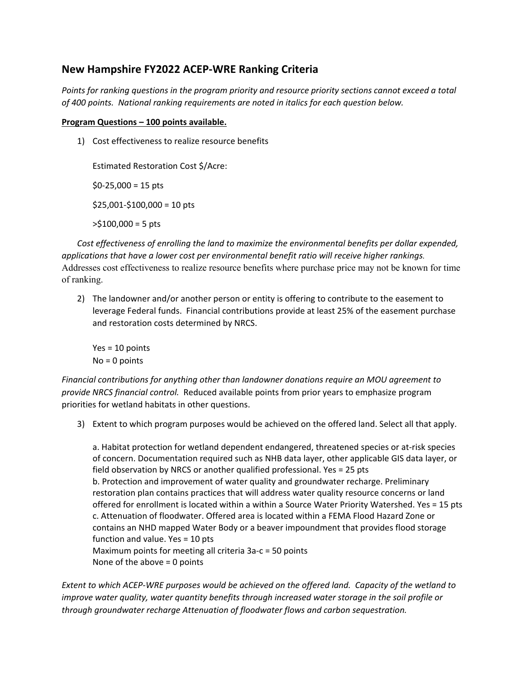#### **New Hampshire FY2022 ACEP‐WRE Ranking Criteria**

*Points for ranking questions in the program priority and resource priority sections cannot exceed a total of 400 points. National ranking requirements are noted in italics for each question below.*

#### **Program Questions – 100 points available.**

1) Cost effectiveness to realize resource benefits

Estimated Restoration Cost \$/Acre:  $$0-25,000 = 15 \text{ pts}$  $$25,001 - $100,000 = 10$  pts  $>$ \$100,000 = 5 pts

*Cost effectiveness of enrolling the land to maximize the environmental benefits per dollar expended, applications that have a lower cost per environmental benefit ratio will receive higher rankings.*  Addresses cost effectiveness to realize resource benefits where purchase price may not be known for time of ranking.

2) The landowner and/or another person or entity is offering to contribute to the easement to leverage Federal funds. Financial contributions provide at least 25% of the easement purchase and restoration costs determined by NRCS.

Yes = 10 points No = 0 points

*Financial contributions for anything other than landowner donations require an MOU agreement to provide NRCS financial control.* Reduced available points from prior years to emphasize program priorities for wetland habitats in other questions.

3) Extent to which program purposes would be achieved on the offered land. Select all that apply.

a. Habitat protection for wetland dependent endangered, threatened species or at‐risk species of concern. Documentation required such as NHB data layer, other applicable GIS data layer, or field observation by NRCS or another qualified professional. Yes = 25 pts b. Protection and improvement of water quality and groundwater recharge. Preliminary restoration plan contains practices that will address water quality resource concerns or land offered for enrollment is located within a within a Source Water Priority Watershed. Yes = 15 pts c. Attenuation of floodwater. Offered area is located within a FEMA Flood Hazard Zone or contains an NHD mapped Water Body or a beaver impoundment that provides flood storage function and value. Yes = 10 pts Maximum points for meeting all criteria 3a‐c = 50 points None of the above = 0 points

Extent to which ACEP-WRE purposes would be achieved on the offered land. Capacity of the wetland to *improve water quality, water quantity benefits through increased water storage in the soil profile or through groundwater recharge Attenuation of floodwater flows and carbon sequestration.*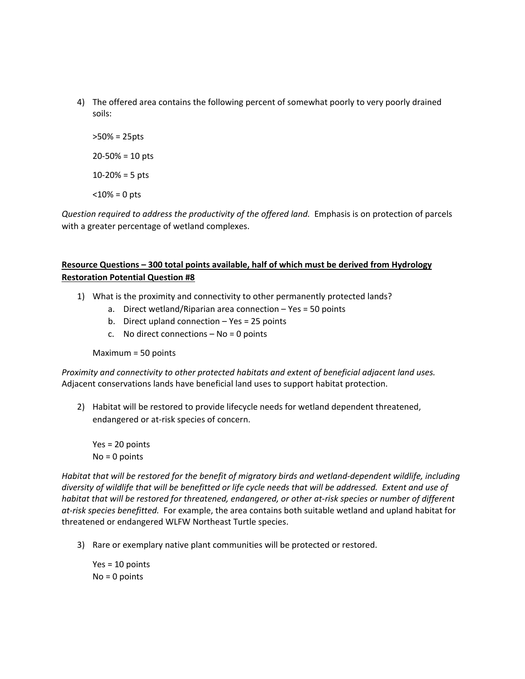- 4) The offered area contains the following percent of somewhat poorly to very poorly drained soils:
	- >50% = 25pts  $20 - 50\% = 10$  pts 10‐20% = 5 pts  $<$ 10% = 0 pts

*Question required to address the productivity of the offered land.* Emphasis is on protection of parcels with a greater percentage of wetland complexes.

#### **Resource Questions – 300 total points available, half of which must be derived from Hydrology Restoration Potential Question #8**

- 1) What is the proximity and connectivity to other permanently protected lands?
	- a. Direct wetland/Riparian area connection Yes = 50 points
	- b. Direct upland connection Yes = 25 points
	- c. No direct connections  $-$  No = 0 points

Maximum = 50 points

*Proximity and connectivity to other protected habitats and extent of beneficial adjacent land uses.*  Adjacent conservations lands have beneficial land uses to support habitat protection.

2) Habitat will be restored to provide lifecycle needs for wetland dependent threatened, endangered or at‐risk species of concern.

Yes = 20 points No = 0 points

Habitat that will be restored for the benefit of migratory birds and wetland-dependent wildlife, including diversity of wildlife that will be benefitted or life cycle needs that will be addressed. Extent and use of habitat that will be restored for threatened, endangered, or other at-risk species or number of different *at‐risk species benefitted.* For example, the area contains both suitable wetland and upland habitat for threatened or endangered WLFW Northeast Turtle species.

3) Rare or exemplary native plant communities will be protected or restored.

Yes = 10 points No = 0 points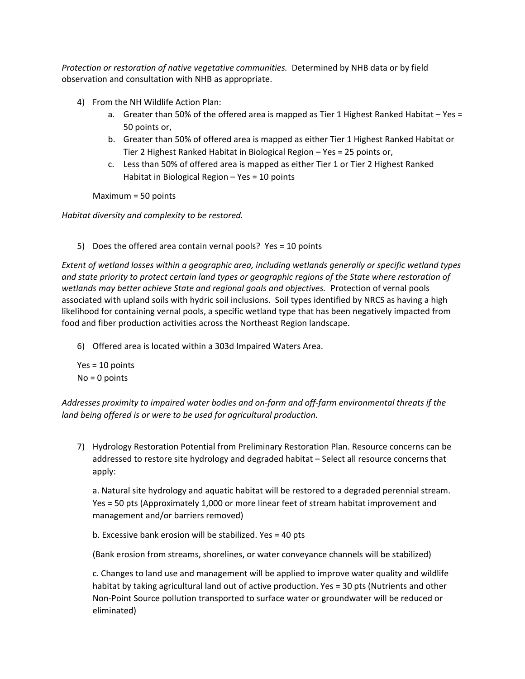*Protection or restoration of native vegetative communities.* Determined by NHB data or by field observation and consultation with NHB as appropriate.

- 4) From the NH Wildlife Action Plan:
	- a. Greater than 50% of the offered area is mapped as Tier 1 Highest Ranked Habitat Yes = 50 points or,
	- b. Greater than 50% of offered area is mapped as either Tier 1 Highest Ranked Habitat or Tier 2 Highest Ranked Habitat in Biological Region – Yes = 25 points or,
	- c. Less than 50% of offered area is mapped as either Tier 1 or Tier 2 Highest Ranked Habitat in Biological Region – Yes = 10 points

Maximum = 50 points

*Habitat diversity and complexity to be restored.*

5) Does the offered area contain vernal pools? Yes = 10 points

*Extent of wetland losses within a geographic area, including wetlands generally or specific wetland types and state priority to protect certain land types or geographic regions of the State where restoration of wetlands may better achieve State and regional goals and objectives.* Protection of vernal pools associated with upland soils with hydric soil inclusions. Soil types identified by NRCS as having a high likelihood for containing vernal pools, a specific wetland type that has been negatively impacted from food and fiber production activities across the Northeast Region landscape.

6) Offered area is located within a 303d Impaired Waters Area.

Yes = 10 points No = 0 points

*Addresses proximity to impaired water bodies and on‐farm and off‐farm environmental threats if the land being offered is or were to be used for agricultural production.*

7) Hydrology Restoration Potential from Preliminary Restoration Plan. Resource concerns can be addressed to restore site hydrology and degraded habitat – Select all resource concerns that apply:

a. Natural site hydrology and aquatic habitat will be restored to a degraded perennial stream. Yes = 50 pts (Approximately 1,000 or more linear feet of stream habitat improvement and management and/or barriers removed)

b. Excessive bank erosion will be stabilized. Yes = 40 pts

(Bank erosion from streams, shorelines, or water conveyance channels will be stabilized)

c. Changes to land use and management will be applied to improve water quality and wildlife habitat by taking agricultural land out of active production. Yes = 30 pts (Nutrients and other Non‐Point Source pollution transported to surface water or groundwater will be reduced or eliminated)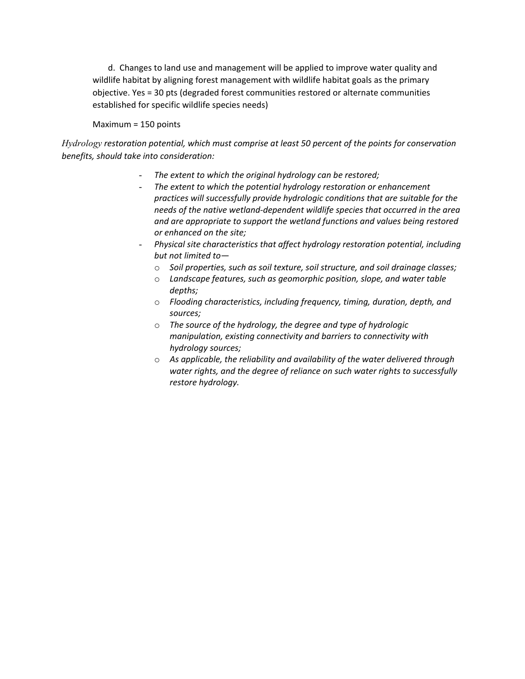d. Changes to land use and management will be applied to improve water quality and wildlife habitat by aligning forest management with wildlife habitat goals as the primary objective. Yes = 30 pts (degraded forest communities restored or alternate communities established for specific wildlife species needs)

#### Maximum = 150 points

*Hydrology restoration potential, which must comprise at least 50 percent of the points for conservation benefits, should take into consideration:*

- *The extent to which the original hydrology can be restored;*
- *The extent to which the potential hydrology restoration or enhancement practices will successfully provide hydrologic conditions that are suitable for the needs of the native wetland‐dependent wildlife species that occurred in the area and are appropriate to support the wetland functions and values being restored or enhanced on the site;*
- *Physical site characteristics that affect hydrology restoration potential, including but not limited to*
	- o *Soil properties, such as soil texture, soil structure, and soil drainage classes;*
	- o *Landscape features, such as geomorphic position, slope, and water table depths;*
	- o *Flooding characteristics, including frequency, timing, duration, depth, and sources;*
	- o *The source of the hydrology, the degree and type of hydrologic manipulation, existing connectivity and barriers to connectivity with hydrology sources;*
	- o *As applicable, the reliability and availability of the water delivered through water rights, and the degree of reliance on such water rights to successfully restore hydrology.*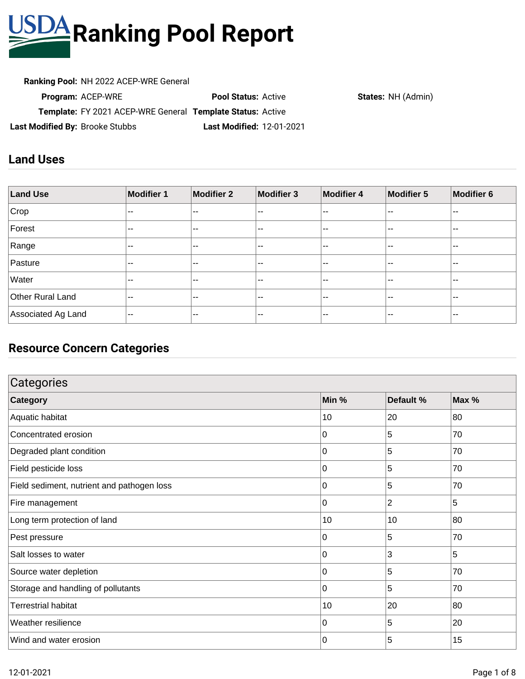

**Ranking Pool:** NH 2022 ACEP-WRE General

| <b>Ranking Pool:</b> NH 2022 ACEP-WRE General              |                                  |  |
|------------------------------------------------------------|----------------------------------|--|
| <b>Program: ACEP-WRE</b>                                   | <b>Pool Status: Active</b>       |  |
| Template: FY 2021 ACEP-WRE General Template Status: Active |                                  |  |
| Last Modified By: Brooke Stubbs                            | <b>Last Modified: 12-01-2021</b> |  |

**States: NH (Admin)** 

### **Land Uses**

| <b>Land Use</b>    | <b>Modifier 1</b>        | <b>Modifier 2</b>        | <b>Modifier 3</b>        | <b>Modifier 4</b>        | Modifier 5 | <b>Modifier 6</b> |
|--------------------|--------------------------|--------------------------|--------------------------|--------------------------|------------|-------------------|
| Crop               | $- -$                    | $\sim$ $\sim$            | --                       | --                       | $- -$      | $\sim$ $-$        |
| Forest             | $- -$                    | $\sim$ $\sim$            | $\overline{\phantom{a}}$ | --                       | $- -$      | <b></b>           |
| Range              | $- -$                    | $\sim$ $\sim$            | $- -$                    | $- -$                    | $- -$      | $- -$             |
| Pasture            | $- -$                    | $\sim$ $\sim$            | --                       | $\overline{\phantom{a}}$ | $- -$      | $\sim$            |
| Water              | $- -$                    | $\sim$ $\sim$            | $\overline{\phantom{a}}$ | --                       | $- -$      | $\sim$            |
| Other Rural Land   | $\overline{\phantom{m}}$ | $\sim$ $\sim$            | --                       | --                       | $- -$      | $- -$             |
| Associated Ag Land | $--$                     | $\overline{\phantom{m}}$ | --                       | --                       | $- -$      | $- -$             |

### **Resource Concern Categories**

| Categories                                 |       |                |       |  |
|--------------------------------------------|-------|----------------|-------|--|
| <b>Category</b>                            | Min % | Default %      | Max % |  |
| Aquatic habitat                            | 10    | 20             | 80    |  |
| Concentrated erosion                       | 0     | 5              | 70    |  |
| Degraded plant condition                   | 0     | 5              | 70    |  |
| Field pesticide loss                       | 0     | 5              | 70    |  |
| Field sediment, nutrient and pathogen loss | 0     | 5              | 70    |  |
| Fire management                            | 0     | $\overline{2}$ | 5     |  |
| Long term protection of land               | 10    | 10             | 80    |  |
| Pest pressure                              | 0     | 5              | 70    |  |
| Salt losses to water                       | 0     | 3              | 5     |  |
| Source water depletion                     | 0     | 5              | 70    |  |
| Storage and handling of pollutants         | 0     | 5              | 70    |  |
| <b>Terrestrial habitat</b>                 | 10    | 20             | 80    |  |
| Weather resilience                         | 0     | 5              | 20    |  |
| Wind and water erosion                     | 0     | 5              | 15    |  |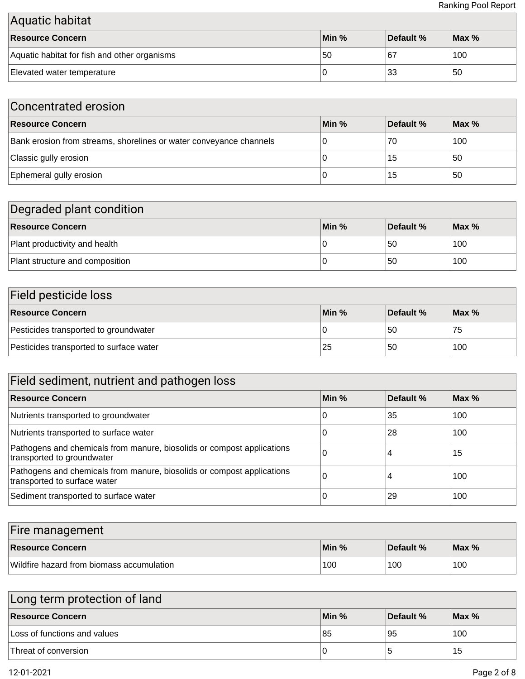| Aquatic habitat                              |       |           |         |  |
|----------------------------------------------|-------|-----------|---------|--|
| Resource Concern                             | Min % | Default % | $Max\%$ |  |
| Aquatic habitat for fish and other organisms | 50    | ∣67       | 100     |  |
| Elevated water temperature                   |       | ∣33       | 50      |  |

| Concentrated erosion                                               |       |           |         |  |
|--------------------------------------------------------------------|-------|-----------|---------|--|
| <b>Resource Concern</b>                                            | Min % | Default % | $Max\%$ |  |
| Bank erosion from streams, shorelines or water conveyance channels | U     | 70        | 100     |  |
| Classic gully erosion                                              |       | 15        | .50     |  |
| Ephemeral gully erosion                                            |       | 15        | 50      |  |

# Degraded plant condition

| <b>Resource Concern</b>         | Min % | Default % | $\blacksquare$ Max % |
|---------------------------------|-------|-----------|----------------------|
| Plant productivity and health   |       | 50        | 100                  |
| Plant structure and composition |       | 50        | 100                  |

| Field pesticide loss                    |       |           |         |  |
|-----------------------------------------|-------|-----------|---------|--|
| <b>Resource Concern</b>                 | Min % | Default % | $Max\%$ |  |
| Pesticides transported to groundwater   |       | 50        | 75      |  |
| Pesticides transported to surface water | '25   | 50        | 100     |  |

| Field sediment, nutrient and pathogen loss                                                             |       |           |                  |  |
|--------------------------------------------------------------------------------------------------------|-------|-----------|------------------|--|
| <b>Resource Concern</b>                                                                                | Min % | Default % | Max <sub>%</sub> |  |
| Nutrients transported to groundwater                                                                   | U     | 35        | 100              |  |
| Nutrients transported to surface water                                                                 | 0     | 28        | 100              |  |
| Pathogens and chemicals from manure, biosolids or compost applications<br>transported to groundwater   | 0     |           | 15               |  |
| Pathogens and chemicals from manure, biosolids or compost applications<br>transported to surface water | 0     |           | 100              |  |
| Sediment transported to surface water                                                                  | 0     | 29        | 100              |  |

| Fire management                           |       |           |                      |  |
|-------------------------------------------|-------|-----------|----------------------|--|
| <b>Resource Concern</b>                   | Min % | Default % | $\blacksquare$ Max % |  |
| Wildfire hazard from biomass accumulation | 100   | 100       | 100                  |  |

| Long term protection of land |       |           |         |
|------------------------------|-------|-----------|---------|
| Resource Concern             | Min % | Default % | $Max\%$ |
| Loss of functions and values | 185   | 95        | 100     |
| Threat of conversion         |       |           | 15      |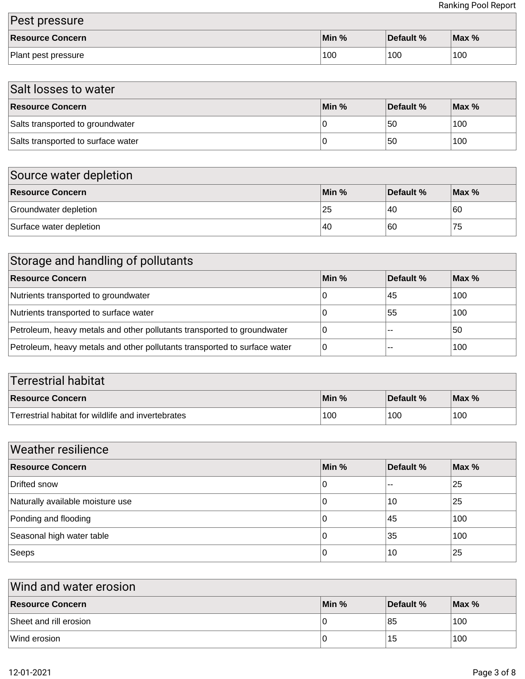| Pest pressure       |                  |           |                      |
|---------------------|------------------|-----------|----------------------|
| Resource Concern    | $\mathsf{Min}$ % | Default % | $\blacksquare$ Max % |
| Plant pest pressure | 100              | 100       | 100                  |

| Salt losses to water               |       |           |         |  |
|------------------------------------|-------|-----------|---------|--|
| <b>Resource Concern</b>            | Min % | Default % | $Max\%$ |  |
| Salts transported to groundwater   |       | 50        | 100     |  |
| Salts transported to surface water |       | 50        | 100     |  |

| Source water depletion  |       |           |         |  |
|-------------------------|-------|-----------|---------|--|
| <b>Resource Concern</b> | Min % | Default % | $Max\%$ |  |
| Groundwater depletion   | 25    | 40        | 60      |  |
| Surface water depletion | 40    | 60        | 75      |  |

| Storage and handling of pollutants                                        |       |           |         |  |
|---------------------------------------------------------------------------|-------|-----------|---------|--|
| <b>Resource Concern</b>                                                   | Min % | Default % | $Max\%$ |  |
| Nutrients transported to groundwater                                      | 0     | 45        | 100     |  |
| Nutrients transported to surface water                                    | 0     | 55        | 100     |  |
| Petroleum, heavy metals and other pollutants transported to groundwater   | 0     | --        | 50      |  |
| Petroleum, heavy metals and other pollutants transported to surface water | 0     | --        | 100     |  |

| <b>Terrestrial habitat</b>                         |       |           |         |
|----------------------------------------------------|-------|-----------|---------|
| <b>Resource Concern</b>                            | Min % | Default % | $Max\%$ |
| Terrestrial habitat for wildlife and invertebrates | 100   | 100       | 100     |

| <b>Weather resilience</b>        |       |           |       |  |
|----------------------------------|-------|-----------|-------|--|
| <b>Resource Concern</b>          | Min % | Default % | Max % |  |
| Drifted snow                     | 0     | --        | 25    |  |
| Naturally available moisture use | 0     | 10        | 25    |  |
| Ponding and flooding             | 0     | 45        | 100   |  |
| Seasonal high water table        | 0     | 35        | 100   |  |
| Seeps                            | 0     | 10        | 25    |  |

| Wind and water erosion |       |           |       |  |
|------------------------|-------|-----------|-------|--|
| Resource Concern       | Min % | Default % | Max % |  |
| Sheet and rill erosion |       | 85        | 100   |  |
| Wind erosion           |       | 15        | 100   |  |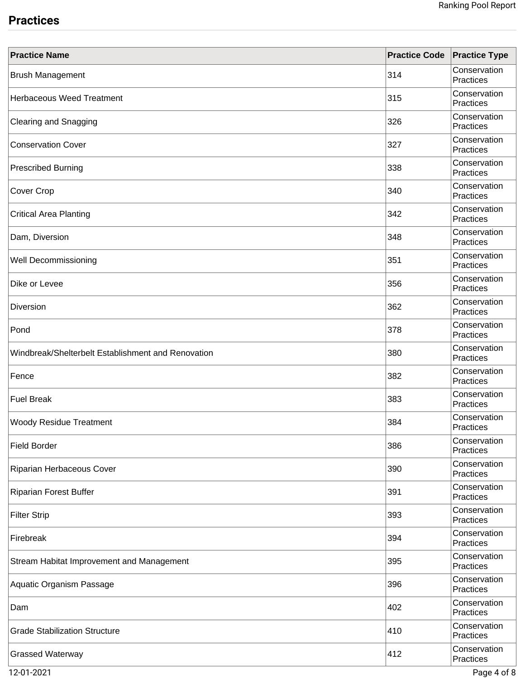## **Practices**

| <b>Practice Name</b>                               | <b>Practice Code</b> | <b>Practice Type</b>             |
|----------------------------------------------------|----------------------|----------------------------------|
| <b>Brush Management</b>                            | 314                  | Conservation<br><b>Practices</b> |
| <b>Herbaceous Weed Treatment</b>                   | 315                  | Conservation<br><b>Practices</b> |
| <b>Clearing and Snagging</b>                       | 326                  | Conservation<br>Practices        |
| <b>Conservation Cover</b>                          | 327                  | Conservation<br>Practices        |
| <b>Prescribed Burning</b>                          | 338                  | Conservation<br><b>Practices</b> |
| Cover Crop                                         | 340                  | Conservation<br>Practices        |
| <b>Critical Area Planting</b>                      | 342                  | Conservation<br>Practices        |
| Dam, Diversion                                     | 348                  | Conservation<br>Practices        |
| Well Decommissioning                               | 351                  | Conservation<br><b>Practices</b> |
| Dike or Levee                                      | 356                  | Conservation<br>Practices        |
| <b>Diversion</b>                                   | 362                  | Conservation<br>Practices        |
| Pond                                               | 378                  | Conservation<br>Practices        |
| Windbreak/Shelterbelt Establishment and Renovation | 380                  | Conservation<br>Practices        |
| Fence                                              | 382                  | Conservation<br>Practices        |
| <b>Fuel Break</b>                                  | 383                  | Conservation<br>Practices        |
| <b>Woody Residue Treatment</b>                     | 384                  | Conservation<br>Practices        |
| <b>Field Border</b>                                | 386                  | Conservation<br>Practices        |
| Riparian Herbaceous Cover                          | 390                  | Conservation<br>Practices        |
| <b>Riparian Forest Buffer</b>                      | 391                  | Conservation<br>Practices        |
| <b>Filter Strip</b>                                | 393                  | Conservation<br>Practices        |
| Firebreak                                          | 394                  | Conservation<br>Practices        |
| Stream Habitat Improvement and Management          | 395                  | Conservation<br>Practices        |
| Aquatic Organism Passage                           | 396                  | Conservation<br>Practices        |
| Dam                                                | 402                  | Conservation<br>Practices        |
| <b>Grade Stabilization Structure</b>               | 410                  | Conservation<br>Practices        |
| <b>Grassed Waterway</b>                            | 412                  | Conservation<br>Practices        |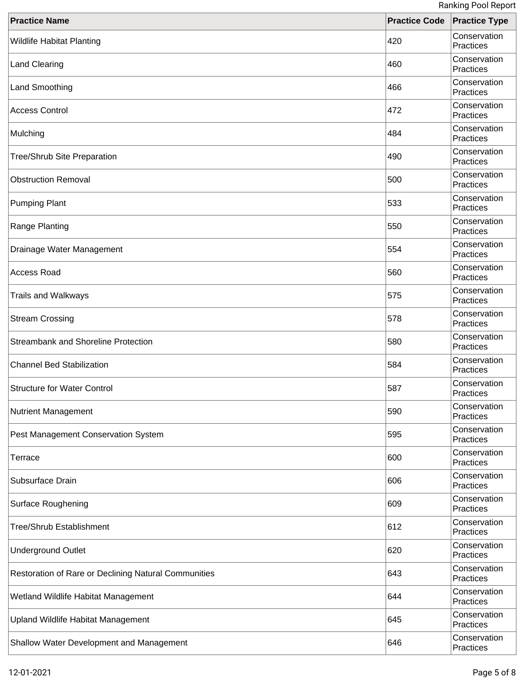| <b>Practice Name</b>                                 | <b>Practice Code Practice Type</b> | <b>INATINITY LOOF INCROIT</b> |
|------------------------------------------------------|------------------------------------|-------------------------------|
| <b>Wildlife Habitat Planting</b>                     | 420                                | Conservation<br>Practices     |
| Land Clearing                                        | 460                                | Conservation<br>Practices     |
| Land Smoothing                                       | 466                                | Conservation<br>Practices     |
| <b>Access Control</b>                                | 472                                | Conservation<br>Practices     |
| Mulching                                             | 484                                | Conservation<br>Practices     |
| <b>Tree/Shrub Site Preparation</b>                   | 490                                | Conservation<br>Practices     |
| <b>Obstruction Removal</b>                           | 500                                | Conservation<br>Practices     |
| <b>Pumping Plant</b>                                 | 533                                | Conservation<br>Practices     |
| Range Planting                                       | 550                                | Conservation<br>Practices     |
| Drainage Water Management                            | 554                                | Conservation<br>Practices     |
| Access Road                                          | 560                                | Conservation<br>Practices     |
| <b>Trails and Walkways</b>                           | 575                                | Conservation<br>Practices     |
| <b>Stream Crossing</b>                               | 578                                | Conservation<br>Practices     |
| Streambank and Shoreline Protection                  | 580                                | Conservation<br>Practices     |
| <b>Channel Bed Stabilization</b>                     | 584                                | Conservation<br>Practices     |
| <b>Structure for Water Control</b>                   | 587                                | Conservation<br>Practices     |
| Nutrient Management                                  | 590                                | Conservation<br>Practices     |
| Pest Management Conservation System                  | 595                                | Conservation<br>Practices     |
| <b>Terrace</b>                                       | 600                                | Conservation<br>Practices     |
| Subsurface Drain                                     | 606                                | Conservation<br>Practices     |
| <b>Surface Roughening</b>                            | 609                                | Conservation<br>Practices     |
| <b>Tree/Shrub Establishment</b>                      | 612                                | Conservation<br>Practices     |
| <b>Underground Outlet</b>                            | 620                                | Conservation<br>Practices     |
| Restoration of Rare or Declining Natural Communities | 643                                | Conservation<br>Practices     |
| Wetland Wildlife Habitat Management                  | 644                                | Conservation<br>Practices     |
| Upland Wildlife Habitat Management                   | 645                                | Conservation<br>Practices     |
| Shallow Water Development and Management             | 646                                | Conservation<br>Practices     |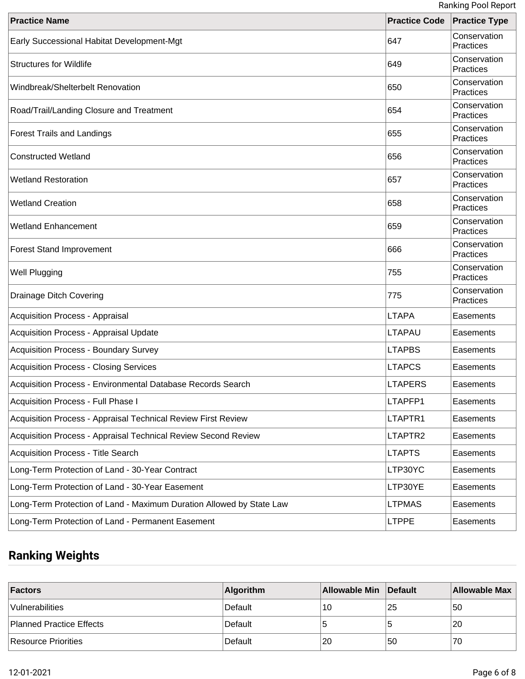| <b>Practice Name</b>                                                 | <b>Practice Code</b> | <b>Practice Type</b>      |
|----------------------------------------------------------------------|----------------------|---------------------------|
| Early Successional Habitat Development-Mgt                           | 647                  | Conservation<br>Practices |
| <b>Structures for Wildlife</b>                                       | 649                  | Conservation<br>Practices |
| Windbreak/Shelterbelt Renovation                                     | 650                  | Conservation<br>Practices |
| Road/Trail/Landing Closure and Treatment                             | 654                  | Conservation<br>Practices |
| <b>Forest Trails and Landings</b>                                    | 655                  | Conservation<br>Practices |
| <b>Constructed Wetland</b>                                           | 656                  | Conservation<br>Practices |
| <b>Wetland Restoration</b>                                           | 657                  | Conservation<br>Practices |
| <b>Wetland Creation</b>                                              | 658                  | Conservation<br>Practices |
| <b>Wetland Enhancement</b>                                           | 659                  | Conservation<br>Practices |
| <b>Forest Stand Improvement</b>                                      | 666                  | Conservation<br>Practices |
| <b>Well Plugging</b>                                                 | 755                  | Conservation<br>Practices |
| <b>Drainage Ditch Covering</b>                                       | 775                  | Conservation<br>Practices |
| Acquisition Process - Appraisal                                      | <b>LTAPA</b>         | Easements                 |
| Acquisition Process - Appraisal Update                               | <b>LTAPAU</b>        | Easements                 |
| <b>Acquisition Process - Boundary Survey</b>                         | <b>LTAPBS</b>        | Easements                 |
| Acquisition Process - Closing Services                               | <b>LTAPCS</b>        | Easements                 |
| Acquisition Process - Environmental Database Records Search          | <b>LTAPERS</b>       | Easements                 |
| Acquisition Process - Full Phase I                                   | LTAPFP1              | Easements                 |
| Acquisition Process - Appraisal Technical Review First Review        | LTAPTR1              | Easements                 |
| Acquisition Process - Appraisal Technical Review Second Review       | LTAPTR2              | Easements                 |
| Acquisition Process - Title Search                                   | <b>LTAPTS</b>        | Easements                 |
| Long-Term Protection of Land - 30-Year Contract                      | LTP30YC              | Easements                 |
| Long-Term Protection of Land - 30-Year Easement                      | LTP30YE              | Easements                 |
| Long-Term Protection of Land - Maximum Duration Allowed by State Law | <b>LTPMAS</b>        | Easements                 |
| Long-Term Protection of Land - Permanent Easement                    | <b>LTPPE</b>         | Easements                 |

# **Ranking Weights**

| <b>Factors</b>           | <b>Algorithm</b> | <b>Allowable Min</b> | Default | <b>Allowable Max</b> |
|--------------------------|------------------|----------------------|---------|----------------------|
| Vulnerabilities          | Default          | 10                   | 25      | 50                   |
| Planned Practice Effects | Default          |                      |         | 20                   |
| Resource Priorities      | Default          | 20                   | 50      | 70                   |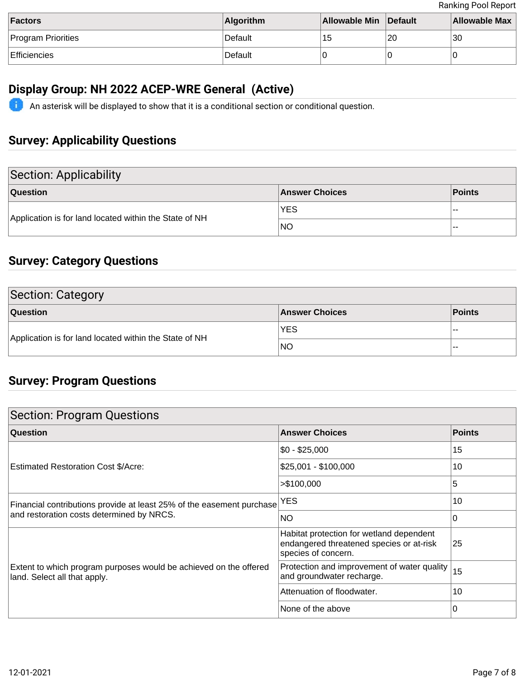| Factors                   | <b>Algorithm</b> | Allowable Min Default |    | <b>Allowable Max</b> |
|---------------------------|------------------|-----------------------|----|----------------------|
| <b>Program Priorities</b> | Default          | ျခ                    | 20 | 30                   |
| Efficiencies              | Default          |                       |    |                      |

## **Display Group: NH 2022 ACEP-WRE General (Active)**

An asterisk will be displayed to show that it is a conditional section or conditional question.

## **Survey: Applicability Questions**

| Section: Applicability                                 |                       |        |  |
|--------------------------------------------------------|-----------------------|--------|--|
| Question                                               | <b>Answer Choices</b> | Points |  |
| Application is for land located within the State of NH | <b>YES</b>            | $- -$  |  |
|                                                        | <b>NO</b>             | $- -$  |  |

## **Survey: Category Questions**

| <b>Section: Category</b>                               |                       |               |  |
|--------------------------------------------------------|-----------------------|---------------|--|
| <b>Question</b>                                        | <b>Answer Choices</b> | <b>Points</b> |  |
| Application is for land located within the State of NH | <b>YES</b>            | --            |  |
|                                                        | NO                    | --            |  |

## **Survey: Program Questions**

| <b>Section: Program Questions</b>                                                                                  |                                                                                                             |          |  |
|--------------------------------------------------------------------------------------------------------------------|-------------------------------------------------------------------------------------------------------------|----------|--|
| <b>Question</b>                                                                                                    | <b>Answer Choices</b>                                                                                       | Points   |  |
| Estimated Restoration Cost \$/Acre:                                                                                | \$0 - \$25,000                                                                                              | 15       |  |
|                                                                                                                    | \$25,001 - \$100,000                                                                                        | 10       |  |
|                                                                                                                    | > \$100,000                                                                                                 | 5        |  |
| Financial contributions provide at least 25% of the easement purchase<br>and restoration costs determined by NRCS. | <b>YES</b>                                                                                                  | 10       |  |
|                                                                                                                    | <b>NO</b>                                                                                                   | $\Omega$ |  |
| Extent to which program purposes would be achieved on the offered<br>land. Select all that apply.                  | Habitat protection for wetland dependent<br>endangered threatened species or at-risk<br>species of concern. | 25       |  |
|                                                                                                                    | Protection and improvement of water quality<br>and groundwater recharge.                                    | 15       |  |
|                                                                                                                    | Attenuation of floodwater.                                                                                  | 10       |  |
|                                                                                                                    | None of the above                                                                                           | 0        |  |